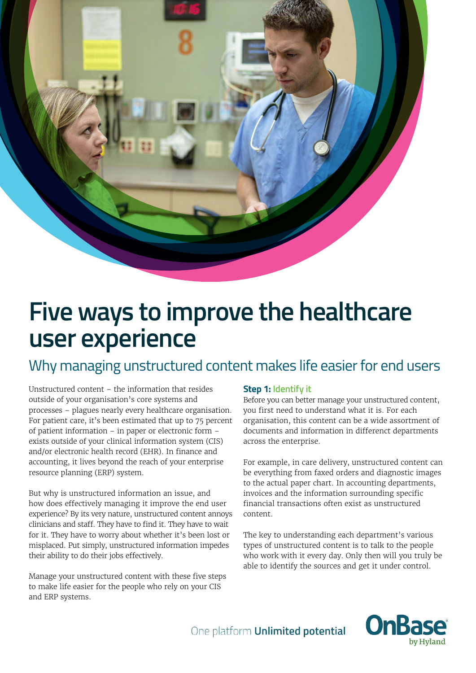

# **Five ways to improve the healthcare user experience**

## Why managing unstructured content makes life easier for end users

Unstructured content – the information that resides outside of your organisation's core systems and processes – plagues nearly every healthcare organisation. For patient care, it's been estimated that up to 75 percent of patient information – in paper or electronic form – exists outside of your clinical information system (CIS) and/or electronic health record (EHR). In finance and accounting, it lives beyond the reach of your enterprise resource planning (ERP) system.

But why is unstructured information an issue, and how does effectively managing it improve the end user experience? By its very nature, unstructured content annoys clinicians and staff. They have to find it. They have to wait for it. They have to worry about whether it's been lost or misplaced. Put simply, unstructured information impedes their ability to do their jobs effectively.

Manage your unstructured content with these five steps to make life easier for the people who rely on your CIS and ERP systems.

### **Step 1: Identify it**

Before you can better manage your unstructured content, you first need to understand what it is. For each organisation, this content can be a wide assortment of documents and information in differenct departments across the enterprise.

For example, in care delivery, unstructured content can be everything from faxed orders and diagnostic images to the actual paper chart. In accounting departments, invoices and the information surrounding specific financial transactions often exist as unstructured content.

The key to understanding each department's various types of unstructured content is to talk to the people who work with it every day. Only then will you truly be able to identify the sources and get it under control.